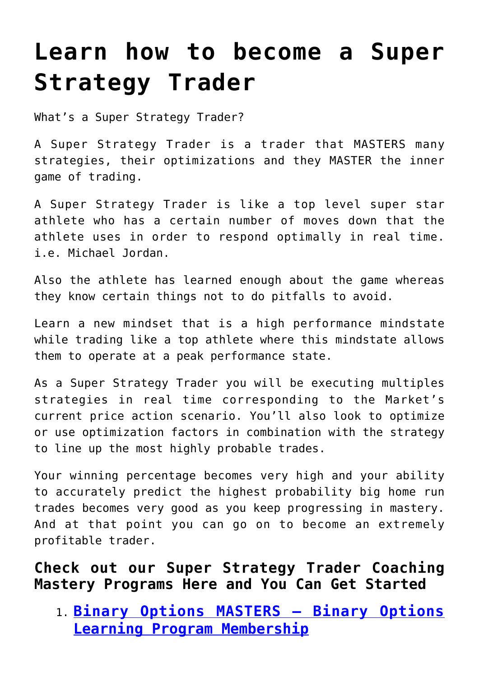## **[Learn how to become a Super](https://binaryoptionsauthority.com/learn-how-to-become-a-super-strategy-trader/) [Strategy Trader](https://binaryoptionsauthority.com/learn-how-to-become-a-super-strategy-trader/)**

What's a Super Strategy Trader?

A Super Strategy Trader is a trader that MASTERS many strategies, their optimizations and they MASTER the inner game of trading.

A Super Strategy Trader is like a top level super star athlete who has a certain number of moves down that the athlete uses in order to respond optimally in real time. i.e. Michael Jordan.

Also the athlete has learned enough about the game whereas they know certain things not to do pitfalls to avoid.

Learn a new mindset that is a high performance mindstate while trading like a top athlete where this mindstate allows them to operate at a peak performance state.

As a Super Strategy Trader you will be executing multiples strategies in real time corresponding to the Market's current price action scenario. You'll also look to optimize or use optimization factors in combination with the strategy to line up the most highly probable trades.

Your winning percentage becomes very high and your ability to accurately predict the highest probability big home run trades becomes very good as you keep progressing in mastery. And at that point you can go on to become an extremely profitable trader.

**Check out our Super Strategy Trader Coaching Mastery Programs Here and You Can Get Started**

1. **[Binary Options MASTERS – Binary Options](https://binaryoptionsauthority.com/binary-options-masters-binary-options-learning-program-membership/) [Learning Program Membership](https://binaryoptionsauthority.com/binary-options-masters-binary-options-learning-program-membership/)**